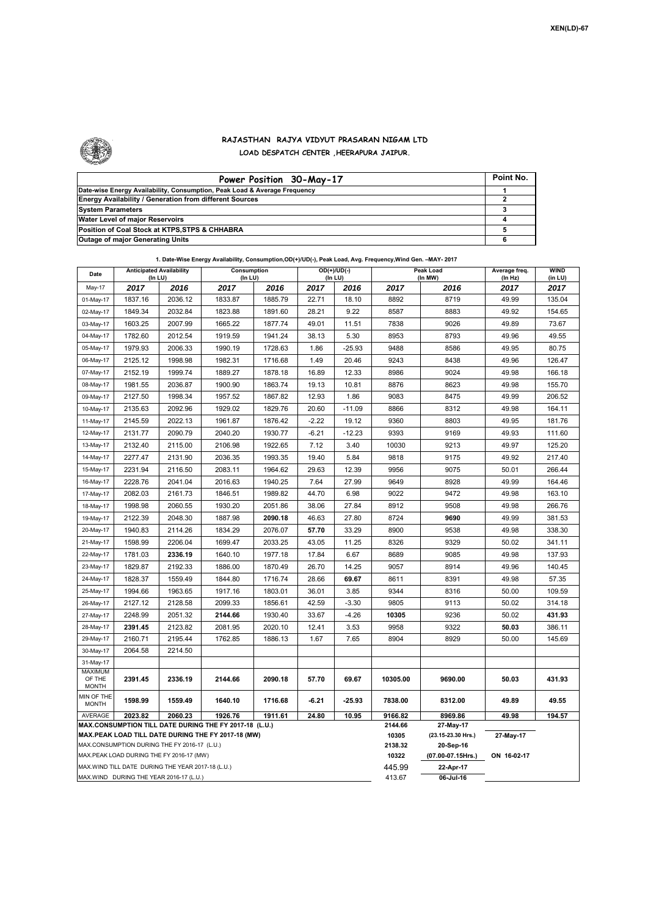

## **RAJASTHAN RAJYA VIDYUT PRASARAN NIGAM LTD LOAD DESPATCH CENTER ,HEERAPURA JAIPUR.**

| Power Position 30-May-17                                                  | Point No. |
|---------------------------------------------------------------------------|-----------|
| Date-wise Energy Availability, Consumption, Peak Load & Average Frequency |           |
| <b>Energy Availability / Generation from different Sources</b>            |           |
| <b>System Parameters</b>                                                  |           |
| Water Level of major Reservoirs                                           |           |
| Position of Coal Stock at KTPS, STPS & CHHABRA                            |           |
| <b>Outage of major Generating Units</b>                                   |           |

|  | 1. Date-Wise Energy Availability, Consumption, OD(+)/UD(-), Peak Load, Avg. Frequency, Wind Gen. -MAY- 2017 |
|--|-------------------------------------------------------------------------------------------------------------|
|--|-------------------------------------------------------------------------------------------------------------|

| Date                                                                                                         | <b>Anticipated Availability</b><br>(In LU)        |         | Consumption<br>(In LU) |         | $OD(+)/UD(-)$<br>(In LU) |          |                  | Peak Load                       | Average freq.   | <b>WIND</b>     |  |  |
|--------------------------------------------------------------------------------------------------------------|---------------------------------------------------|---------|------------------------|---------|--------------------------|----------|------------------|---------------------------------|-----------------|-----------------|--|--|
| May-17                                                                                                       | 2017                                              | 2016    | 2017                   | 2016    | 2017                     | 2016     | 2017             | (In MW)<br>2016                 | (ln Hz)<br>2017 | (in LU)<br>2017 |  |  |
| 01-May-17                                                                                                    | 1837.16                                           | 2036.12 | 1833.87                | 1885.79 | 22.71                    | 18.10    | 8892             | 8719                            | 49.99           | 135.04          |  |  |
| 02-May-17                                                                                                    | 1849.34                                           | 2032.84 | 1823.88                | 1891.60 | 28.21                    | 9.22     | 8587             | 8883                            | 49.92           | 154.65          |  |  |
| 03-May-17                                                                                                    | 1603.25                                           | 2007.99 | 1665.22                | 1877.74 | 49.01                    | 11.51    | 7838             | 9026                            | 49.89           | 73.67           |  |  |
| 04-May-17                                                                                                    | 1782.60                                           | 2012.54 | 1919.59                | 1941.24 | 38.13                    | 5.30     | 8953             | 8793                            | 49.96           | 49.55           |  |  |
| 05-May-17                                                                                                    | 1979.93                                           | 2006.33 | 1990.19                | 1728.63 | 1.86                     | $-25.93$ | 9488             | 8586                            | 49.95           | 80.75           |  |  |
| 06-May-17                                                                                                    | 2125.12                                           | 1998.98 | 1982.31                | 1716.68 | 1.49                     | 20.46    | 9243             | 8438                            | 49.96           | 126.47          |  |  |
| 07-May-17                                                                                                    | 2152.19                                           | 1999.74 | 1889.27                | 1878.18 | 16.89                    | 12.33    | 8986             | 9024                            | 49.98           | 166.18          |  |  |
| 08-May-17                                                                                                    | 1981.55                                           | 2036.87 | 1900.90                | 1863.74 | 19.13                    | 10.81    | 8876             | 8623                            | 49.98           | 155.70          |  |  |
| 09-May-17                                                                                                    | 2127.50                                           | 1998.34 | 1957.52                | 1867.82 | 12.93                    | 1.86     | 9083             | 8475                            | 49.99           | 206.52          |  |  |
| 10-May-17                                                                                                    | 2135.63                                           | 2092.96 | 1929.02                | 1829.76 | 20.60                    | $-11.09$ | 8866             | 8312                            | 49.98           | 164.11          |  |  |
| 11-May-17                                                                                                    | 2145.59                                           | 2022.13 | 1961.87                | 1876.42 | $-2.22$                  | 19.12    | 9360             | 8803                            | 49.95           | 181.76          |  |  |
| 12-May-17                                                                                                    | 2131.77                                           | 2090.79 | 2040.20                | 1930.77 | $-6.21$                  | $-12.23$ | 9393             | 9169                            | 49.93           | 111.60          |  |  |
| 13-May-17                                                                                                    | 2132.40                                           | 2115.00 | 2106.98                | 1922.65 | 7.12                     | 3.40     | 10030            | 9213                            | 49.97           | 125.20          |  |  |
| 14-May-17                                                                                                    | 2277.47                                           | 2131.90 | 2036.35                | 1993.35 | 19.40                    | 5.84     | 9818             | 9175                            | 49.92           | 217.40          |  |  |
| 15-May-17                                                                                                    | 2231.94                                           | 2116.50 | 2083.11                | 1964.62 | 29.63                    | 12.39    | 9956             | 9075                            | 50.01           | 266.44          |  |  |
| 16-May-17                                                                                                    | 2228.76                                           | 2041.04 | 2016.63                | 1940.25 | 7.64                     | 27.99    | 9649             | 8928                            | 49.99           | 164.46          |  |  |
| 17-May-17                                                                                                    | 2082.03                                           | 2161.73 | 1846.51                | 1989.82 | 44.70                    | 6.98     | 9022             | 9472                            | 49.98           | 163.10          |  |  |
| 18-May-17                                                                                                    | 1998.98                                           | 2060.55 | 1930.20                | 2051.86 | 38.06                    | 27.84    | 8912             | 9508                            | 49.98           | 266.76          |  |  |
| 19-May-17                                                                                                    | 2122.39                                           | 2048.30 | 1887.98                | 2090.18 | 46.63                    | 27.80    | 8724             | 9690                            | 49.99           | 381.53          |  |  |
| 20-May-17                                                                                                    | 1940.83                                           | 2114.26 | 1834.29                | 2076.07 | 57.70                    | 33.29    | 8900             | 9538                            | 49.98           | 338.30          |  |  |
| 21-May-17                                                                                                    | 1598.99                                           | 2206.04 | 1699.47                | 2033.25 | 43.05                    | 11.25    | 8326             | 9329                            | 50.02           | 341.11          |  |  |
| 22-May-17                                                                                                    | 1781.03                                           | 2336.19 | 1640.10                | 1977.18 | 17.84                    | 6.67     | 8689             | 9085                            | 49.98           | 137.93          |  |  |
| 23-May-17                                                                                                    | 1829.87                                           | 2192.33 | 1886.00                | 1870.49 | 26.70                    | 14.25    | 9057             | 8914                            | 49.96           | 140.45          |  |  |
| 24-May-17                                                                                                    | 1828.37                                           | 1559.49 | 1844.80                | 1716.74 | 28.66                    | 69.67    | 8611             | 8391                            | 49.98           | 57.35           |  |  |
| 25-May-17                                                                                                    | 1994.66                                           | 1963.65 | 1917.16                | 1803.01 | 36.01                    | 3.85     | 9344             | 8316                            | 50.00           | 109.59          |  |  |
| 26-May-17                                                                                                    | 2127.12                                           | 2128.58 | 2099.33                | 1856.61 | 42.59                    | $-3.30$  | 9805             | 9113                            | 50.02           | 314.18          |  |  |
| 27-May-17                                                                                                    | 2248.99                                           | 2051.32 | 2144.66                | 1930.40 | 33.67                    | $-4.26$  | 10305            | 9236                            | 50.02           | 431.93          |  |  |
| 28-May-17                                                                                                    | 2391.45                                           | 2123.82 | 2081.95                | 2020.10 | 12.41                    | 3.53     | 9958             | 9322                            | 50.03           | 386.11          |  |  |
| 29-May-17                                                                                                    | 2160.71                                           | 2195.44 | 1762.85                | 1886.13 | 1.67                     | 7.65     | 8904             | 8929                            | 50.00           | 145.69          |  |  |
| 30-May-17                                                                                                    | 2064.58                                           | 2214.50 |                        |         |                          |          |                  |                                 |                 |                 |  |  |
| 31-May-17                                                                                                    |                                                   |         |                        |         |                          |          |                  |                                 |                 |                 |  |  |
| MAXIMUM<br>OF THE<br><b>MONTH</b>                                                                            | 2391.45                                           | 2336.19 | 2144.66                | 2090.18 | 57.70                    | 69.67    | 10305.00         | 9690.00                         | 50.03           | 431.93          |  |  |
| MIN OF THE<br><b>MONTH</b>                                                                                   | 1598.99                                           | 1559.49 | 1640.10                | 1716.68 | $-6.21$                  | $-25.93$ | 7838.00          | 8312.00                         | 49.89           | 49.55           |  |  |
| 2023.82<br>2060.23<br>1926.76<br>24.80<br>10.95<br>AVERAGE<br>1911.61                                        |                                                   |         |                        |         |                          |          | 9166.82          | 8969.86                         | 49.98           | 194.57          |  |  |
| MAX.CONSUMPTION TILL DATE DURING THE FY 2017-18 (L.U.)<br>MAX.PEAK LOAD TILL DATE DURING THE FY 2017-18 (MW) |                                                   |         |                        |         |                          |          | 2144.66<br>10305 | 27-May-17<br>(23.15-23.30 Hrs.) | 27-May-17       |                 |  |  |
| MAX.CONSUMPTION DURING THE FY 2016-17 (L.U.)                                                                 |                                                   |         |                        |         |                          |          | 2138.32          | 20-Sep-16                       |                 |                 |  |  |
| MAX.PEAK LOAD DURING THE FY 2016-17 (MW)                                                                     |                                                   |         |                        |         |                          |          | 10322            | (07.00-07.15Hrs.)               | ON 16-02-17     |                 |  |  |
|                                                                                                              | MAX.WIND TILL DATE DURING THE YEAR 2017-18 (L.U.) |         |                        |         |                          |          | 445.99           | 22-Apr-17                       |                 |                 |  |  |
| MAX.WIND DURING THE YEAR 2016-17 (L.U.)                                                                      |                                                   |         |                        |         |                          |          | 413.67           | 06-Jul-16                       |                 |                 |  |  |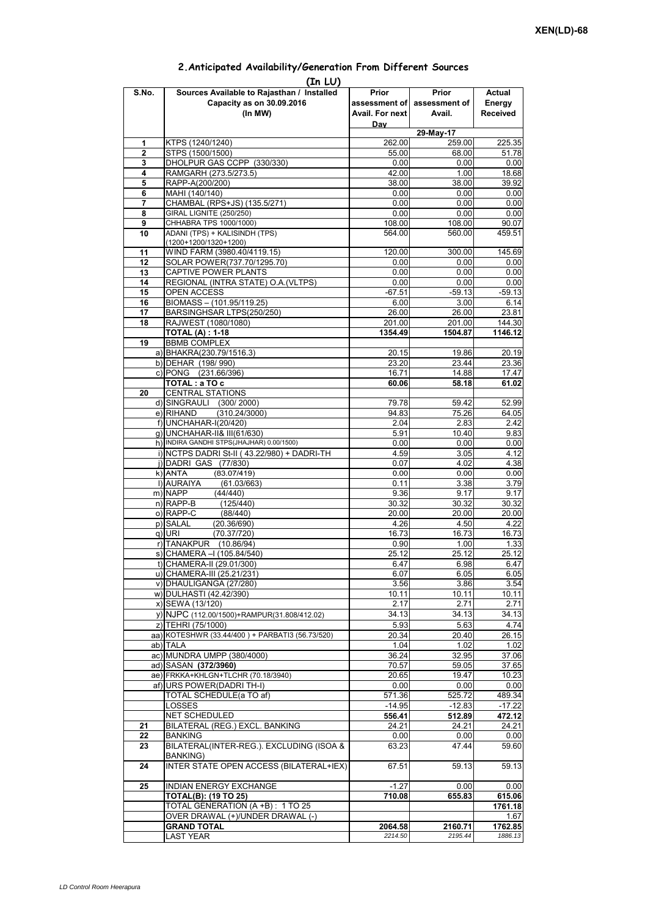## **Prior assessment of Avail. For next Day Prior assessment of Avail. Actual Energy Received 1** KTPS (1240/1240) 262.00 259.00 225.35 **2** STPS (1500/1500)<br> **3** DHOLPUR GAS CCPP (330/330)<br> **55.00** 68.00 68.00 51.78 **3** DHOLPUR GAS CCPP (330/330) 0.00 0.00 0.00 **4** RAMGARH (273.5/273.5) 42.00 1.00 18.68<br> **5** RAPP-A(200/200) 38.00 38.00 38.92 **5** RAPP-A(200/200) **38.00** 38.00 38.00 **38.00 6** MAHI (140/140) 0.00 0.00 0.00 **7** CHAMBAL (RPS+JS) (135.5/271) 0.00 0.00 0.00 0.00 0.00 **8** GIRAL LIGNITE (250/250) 0.00 0.00 0.00 0.00<br> **9** CHHABRA TPS 1000/1000) 0.00 108.00 108.00 0.07 **9** CHHABRA TPS 1000/1000) 108.00<br>**10** ADANI (TPS) + KALISINDH (TPS) 108.00 **10** ADANI (TPS) + KALISINDH (TPS) (1200+1200/1320+1200) 564.00 560.00 459.51 11 | WIND FARM (3980.40/4119.15)  $\vert$  120.00 300.00 145.69 12 SOLAR POWER(737.70/1295.70) 0.00 0.00 0.00 0.00 **13** CAPTIVE POWER PLANTS 0.00 0.00 0.00 0.00 **14** REGIONAL (INTRA STATE) O.A.(VLTPS) 0.00 0.00 0.00 0.00 0.00 15 OPEN ACCESS -67.51 -59.13 -59.13<br>16 BIOMASS – (101.95/119.25) -6.00 -6.14 **BIOMASS – (101.95/119.25)** 17 BARSINGHSAR LTPS(250/250) 26.00 26.00 23.81 18 RAJWEST (1080/1080)<br>**18 RAJWEST (1080/1080)** 201.00 201.00 201.00 144.30<br>**1354.49 1504.87 1146.12 TOTAL (A) : 1-18 1354.49 1504.87 19** BBMB COMPLEX a) BHAKRA(230.79/1516.3) 20.15 20.15 19.86 20.19<br>b) DEHAR (198/990) 23.20 23.44 23.36 b) DEHAR (198/ 990) c) PONG (231.66/396) 16.71 16.71 14.88 17.47 **TOTAL : a TO c** 60.06 58.18 61.02 **20** CENTRAL STATIONS d) SINGRAULI (300/2000) 79.78 59.42 52.99<br>e) RIHAND (310.24/3000) 94.83 75.26 64.05  $(310.24/3000)$ f) UNCHAHAR-I(20/420) 2.42 g) UNCHAHAR-II& III(61/630) 6.91 10.40 9.83 h) INDIRA GANDHI STPS(JHAJHAR) 0.00/1500) 0.00 0.00 0.00 0.00 0.00 0.00 i) NCTPS DADRI St-II (43.22/980) + DADRI-TH 4.59 4.59 3.05 4.12 j)|DADRI GAS (77/830) 0.07 4.02 4.38<br>k)|ANTA (83.07/419) 0.00 0.00 0.00 k) ANTA (83 07/419) 0 00 0 00 0 00 **(In LU) S.No. Sources Available to Rajasthan / Installed Capacity as on 30.09.2016 (In MW) 29-May-17** ANTA (83.07/419)0.000.000.00l) AURAIYA (61.03/663) 0.11 3.38 3.79 m) NAPP (44/440) 9.36 9.17 9.17 n) RAPP-B (125/440) 30.32 30.32 30.32 o) RAPP-C (88/440) 20.00 20.00 20.00 p) SALAL (20.36/690) 4.26 4.26 4.22<br>q) URI (70.37/720) 4.22 16.73 16.73 16.73 q) URI (70.37/720) 16.73 16.73 16.73 r) TANAKPUR (10.86/94) 0.90 1.00 1.33<br>s) CHAMERA – (105.84/540) 25.12 25.12 25.12 25.12  $\overline{s}$ ) CHAMERA –I (105.84/540) t) CHAMERA-II (29.01/300) 6.47 6.98 6.47 u) CHAMERA-III (25.21/231) 6.07 6.07 6.05 6.05 6.05 v) DHAULIGANGA (27/280)  $\begin{array}{|c|c|c|c|c|c|c|c|c|} \hline \rule{0pt}{12pt} & 3.56 & 3.56 & \multicolumn{2}{c|}{3.54} \\\hline \end{array}$ w) DULHASTI (42.42/390) 10.11 10.11 10.11 10.11 10.11 10.11 x) SEWA (13/120) 2.17 2.71 2.71 y) NJPC (112.00/1500)+RAMPUR(31.808/412.02) z) TEHRI (75/1000) 5.93 5.63 4.74<br>a) KOTESHWR (33.44/400 ) + PARBATI3 (56.73/520) 20.34 20.40 20.40 26.15 aa) KOTESHWR (33.44/400) + PARBATI3 (56.73/520) ab) TALA 1.04 1.02 1.02 ac) MUNDRA UMPP (380/4000)  $\begin{array}{|c|c|c|c|c|c|c|c|} \hline \rule{0pt}{12pt} & \rule{0pt}{2pt} & \rule{0pt}{2pt} & \rule{0pt}{2pt} & \rule{0pt}{2pt} & \rule{0pt}{2pt} & \rule{0pt}{2pt} & \rule{0pt}{2pt} & \rule{0pt}{2pt} & \rule{0pt}{2pt} & \rule{0pt}{2pt} & \rule{0pt}{2pt} & \rule{0pt}{2pt} & \rule{0pt}{2pt} & \rule{0pt}{2pt} & \rule{0pt}{2pt} & \rule{0pt}{2$ ad) SASAN **(372/3960)** 70.57 59.05 37.65<br>ae) FRKKA+KHLGN+TLCHR (70.18/3940) 20.65 19.47 10.23 ae) FRKKA+KHLGN+TLCHR (70.18/3940) af) URS POWER(DADRI TH-I) 0.00 0.00 0.00 TOTAL SCHEDULE(a TO af) 571.36 525.72 489.34 LOSSES -14.95 -12.83 -17.22 NET SCHEDULED **556.41 512.89 472.12 21** BILATERAL (REG.) EXCL. BANKING 24.21 24.21 24.21 **22** BANKING 0.00 0.00 0.00 **23** BILATERAL(INTER-REG.). EXCLUDING (ISOA & BANKING) 63.23 47.44 59.60 **24** INTER STATE OPEN ACCESS (BILATERAL+IEX) 67.51 59.13 59.13 **25 INDIAN ENERGY EXCHANGE -1.27 0.000 0.000** 0.00 **TOTAL(B): (19 TO 25) 710.08 655.83 615.06** TOTAL GENERATION (A +B) : 1 TO 25 **1761.18**<br>
OVER DRAWAL (+)(INDER DRAWAL (-) 1 67 OVER DRAWAL (+)/UNDER DRAWAL (-) **GRAND TOTAL 2064.58** 2064.58 2160.71 1762.85 LAST YEAR *2214.50 2195.44 1886.13*

## **2.Anticipated Availability/Generation From Different Sources**